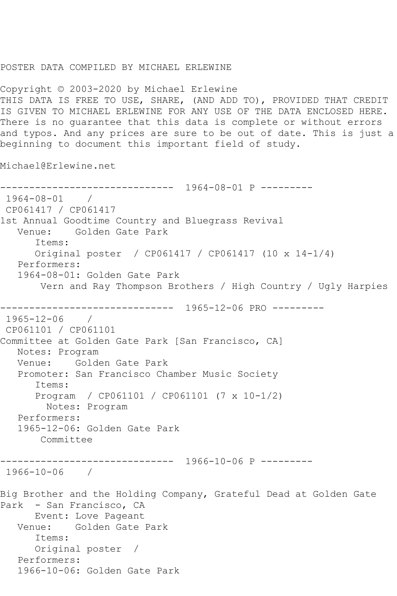## POSTER DATA COMPILED BY MICHAEL ERLEWINE

Copyright © 2003-2020 by Michael Erlewine THIS DATA IS FREE TO USE, SHARE, (AND ADD TO), PROVIDED THAT CREDIT IS GIVEN TO MICHAEL ERLEWINE FOR ANY USE OF THE DATA ENCLOSED HERE. There is no guarantee that this data is complete or without errors and typos. And any prices are sure to be out of date. This is just a beginning to document this important field of study.

Michael@Erlewine.net

```
------------------------------ 1964-08-01 P ---------
1964-08-01 / 
CP061417 / CP061417
1st Annual Goodtime Country and Bluegrass Revival
   Venue: Golden Gate Park
      Items:
      Original poster / CP061417 / CP061417 (10 x 14-1/4)
   Performers:
   1964-08-01: Golden Gate Park
       Vern and Ray Thompson Brothers / High Country / Ugly Harpies
------------------------------ 1965-12-06 PRO ---------
1965-12-06 / 
CP061101 / CP061101
Committee at Golden Gate Park [San Francisco, CA]
   Notes: Program
   Venue: Golden Gate Park
   Promoter: San Francisco Chamber Music Society
      Items:
      Program / CP061101 / CP061101 (7 x 10-1/2)
        Notes: Program
   Performers:
   1965-12-06: Golden Gate Park
       Committee
------------------------------ 1966-10-06 P ---------
1966-10-06 / 
Big Brother and the Holding Company, Grateful Dead at Golden Gate 
Park - San Francisco, CA
      Event: Love Pageant
   Venue: Golden Gate Park
      Items:
      Original poster / 
   Performers:
   1966-10-06: Golden Gate Park
```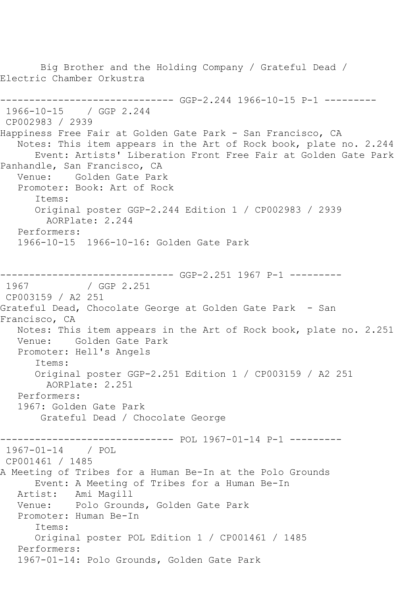Big Brother and the Holding Company / Grateful Dead / Electric Chamber Orkustra ------------------------------ GGP-2.244 1966-10-15 P-1 --------- 1966-10-15 / GGP 2.244 CP002983 / 2939 Happiness Free Fair at Golden Gate Park - San Francisco, CA Notes: This item appears in the Art of Rock book, plate no. 2.244 Event: Artists' Liberation Front Free Fair at Golden Gate Park Panhandle, San Francisco, CA Venue: Golden Gate Park Promoter: Book: Art of Rock Items: Original poster GGP-2.244 Edition 1 / CP002983 / 2939 AORPlate: 2.244 Performers: 1966-10-15 1966-10-16: Golden Gate Park ------------------------------ GGP-2.251 1967 P-1 --------- 1967 / GGP 2.251 CP003159 / A2 251 Grateful Dead, Chocolate George at Golden Gate Park - San Francisco, CA Notes: This item appears in the Art of Rock book, plate no. 2.251 Venue: Golden Gate Park Promoter: Hell's Angels Items: Original poster GGP-2.251 Edition 1 / CP003159 / A2 251 AORPlate: 2.251 Performers: 1967: Golden Gate Park Grateful Dead / Chocolate George ------------------------------ POL 1967-01-14 P-1 --------- 1967-01-14 / POL CP001461 / 1485 A Meeting of Tribes for a Human Be-In at the Polo Grounds Event: A Meeting of Tribes for a Human Be-In Artist: Ami Magill Venue: Polo Grounds, Golden Gate Park Promoter: Human Be-In Items: Original poster POL Edition 1 / CP001461 / 1485 Performers: 1967-01-14: Polo Grounds, Golden Gate Park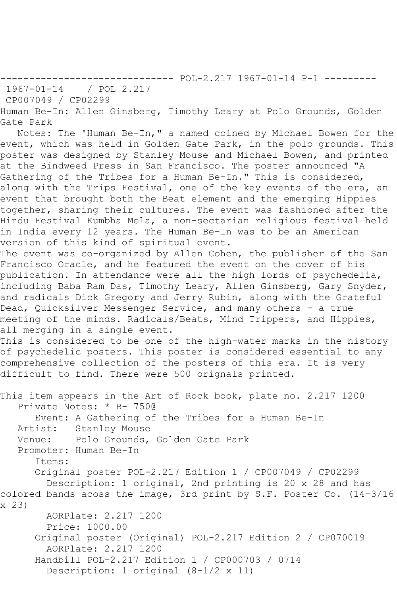------------------------------ POL-2.217 1967-01-14 P-1 ---------

1967-01-14 / POL 2.217

CP007049 / CP02299

Human Be-In: Allen Ginsberg, Timothy Leary at Polo Grounds, Golden Gate Park

 Notes: The 'Human Be-In," a named coined by Michael Bowen for the event, which was held in Golden Gate Park, in the polo grounds. This poster was designed by Stanley Mouse and Michael Bowen, and printed at the Bindweed Press in San Francisco. The poster announced "A Gathering of the Tribes for a Human Be-In." This is considered, along with the Trips Festival, one of the key events of the era, an event that brought both the Beat element and the emerging Hippies together, sharing their cultures. The event was fashioned after the Hindu Festival Kumbha Mela, a non-sectarian religious festival held in India every 12 years. The Human Be-In was to be an American version of this kind of spiritual event.

The event was co-organized by Allen Cohen, the publisher of the San Francisco Oracle, and he featured the event on the cover of his publication. In attendance were all the high lords of psychedelia, including Baba Ram Das, Timothy Leary, Allen Ginsberg, Gary Snyder, and radicals Dick Gregory and Jerry Rubin, along with the Grateful Dead, Quicksilver Messenger Service, and many others - a true meeting of the minds. Radicals/Beats, Mind Trippers, and Hippies, all merging in a single event.

This is considered to be one of the high-water marks in the history of psychedelic posters. This poster is considered essential to any comprehensive collection of the posters of this era. It is very difficult to find. There were 500 orignals printed.

This item appears in the Art of Rock book, plate no. 2.217 1200 Private Notes: \* B- 750@ Event: A Gathering of the Tribes for a Human Be-In Artist: Stanley Mouse Venue: Polo Grounds, Golden Gate Park Promoter: Human Be-In Items: Original poster POL-2.217 Edition 1 / CP007049 / CP02299 Description: 1 original, 2nd printing is 20 x 28 and has colored bands acoss the image, 3rd print by S.F. Poster Co. (14-3/16 x 23) AORPlate: 2.217 1200 Price: 1000.00 Original poster (Original) POL-2.217 Edition 2 / CP070019 AORPlate: 2.217 1200 Handbill POL-2.217 Edition 1 / CP000703 / 0714 Description: 1 original (8-1/2 x 11)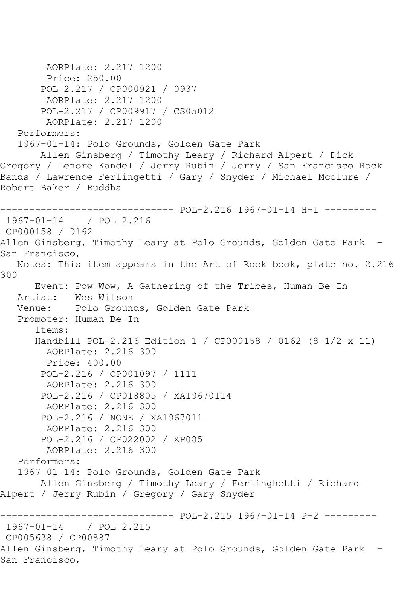```
 AORPlate: 2.217 1200 
        Price: 250.00
        POL-2.217 / CP000921 / 0937
         AORPlate: 2.217 1200 
        POL-2.217 / CP009917 / CS05012
         AORPlate: 2.217 1200 
   Performers:
   1967-01-14: Polo Grounds, Golden Gate Park
       Allen Ginsberg / Timothy Leary / Richard Alpert / Dick 
Gregory / Lenore Kandel / Jerry Rubin / Jerry / San Francisco Rock 
Bands / Lawrence Ferlingetti / Gary / Snyder / Michael Mcclure / 
Robert Baker / Buddha
------------------------------ POL-2.216 1967-01-14 H-1 ---------
1967-01-14 / POL 2.216
CP000158 / 0162
Allen Ginsberg, Timothy Leary at Polo Grounds, Golden Gate Park -
San Francisco,
   Notes: This item appears in the Art of Rock book, plate no. 2.216 
300
      Event: Pow-Wow, A Gathering of the Tribes, Human Be-In
   Artist: Wes Wilson
   Venue: Polo Grounds, Golden Gate Park
   Promoter: Human Be-In
       Items:
      Handbill POL-2.216 Edition 1 / CP000158 / 0162 (8-1/2 x 11)
        AORPlate: 2.216 300 
        Price: 400.00
        POL-2.216 / CP001097 / 1111
        AORPlate: 2.216 300 
        POL-2.216 / CP018805 / XA19670114
        AORPlate: 2.216 300 
        POL-2.216 / NONE / XA1967011
        AORPlate: 2.216 300 
        POL-2.216 / CP022002 / XP085
         AORPlate: 2.216 300 
   Performers:
   1967-01-14: Polo Grounds, Golden Gate Park
       Allen Ginsberg / Timothy Leary / Ferlinghetti / Richard 
Alpert / Jerry Rubin / Gregory / Gary Snyder
------------------------------ POL-2.215 1967-01-14 P-2 ---------
1967-01-14 / POL 2.215
CP005638 / CP00887
Allen Ginsberg, Timothy Leary at Polo Grounds, Golden Gate Park -
San Francisco,
```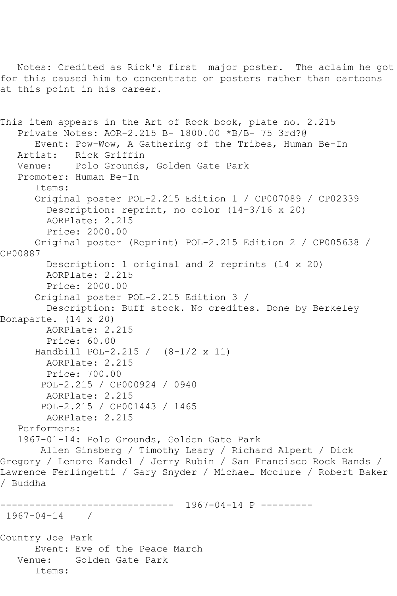Notes: Credited as Rick's first major poster. The aclaim he got for this caused him to concentrate on posters rather than cartoons at this point in his career.

This item appears in the Art of Rock book, plate no. 2.215 Private Notes: AOR-2.215 B- 1800.00 \*B/B- 75 3rd?@ Event: Pow-Wow, A Gathering of the Tribes, Human Be-In Artist: Rick Griffin Venue: Polo Grounds, Golden Gate Park Promoter: Human Be-In Items: Original poster POL-2.215 Edition 1 / CP007089 / CP02339 Description: reprint, no color (14-3/16 x 20) AORPlate: 2.215 Price: 2000.00 Original poster (Reprint) POL-2.215 Edition 2 / CP005638 / CP00887 Description: 1 original and 2 reprints (14 x 20) AORPlate: 2.215 Price: 2000.00 Original poster POL-2.215 Edition 3 / Description: Buff stock. No credites. Done by Berkeley Bonaparte. (14 x 20) AORPlate: 2.215 Price: 60.00 Handbill POL-2.215 / (8-1/2 x 11) AORPlate: 2.215 Price: 700.00 POL-2.215 / CP000924 / 0940 AORPlate: 2.215 POL-2.215 / CP001443 / 1465 AORPlate: 2.215 Performers: 1967-01-14: Polo Grounds, Golden Gate Park Allen Ginsberg / Timothy Leary / Richard Alpert / Dick Gregory / Lenore Kandel / Jerry Rubin / San Francisco Rock Bands / Lawrence Ferlingetti / Gary Snyder / Michael Mcclure / Robert Baker / Buddha ------------------------------ 1967-04-14 P --------- 1967-04-14 / Country Joe Park Event: Eve of the Peace March Venue: Golden Gate Park Items: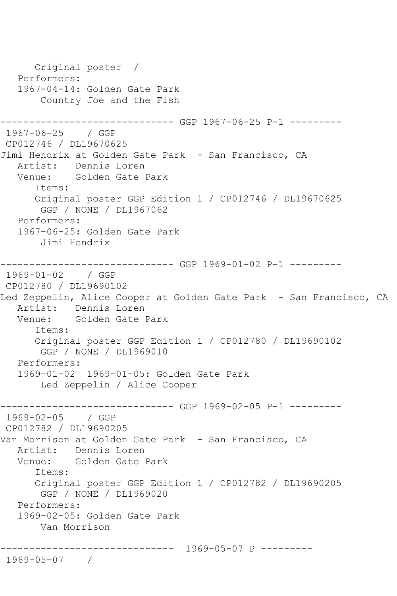```
 Original poster / 
    Performers:
    1967-04-14: Golden Gate Park
        Country Joe and the Fish
                     ------------------------------ GGP 1967-06-25 P-1 ---------
1967-06-25 / GGP 
CP012746 / DL19670625
Jimi Hendrix at Golden Gate Park - San Francisco, CA
   Artist: Dennis Loren
   Venue: Golden Gate Park
       Items:
       Original poster GGP Edition 1 / CP012746 / DL19670625
        GGP / NONE / DL1967062
   Performers:
    1967-06-25: Golden Gate Park
        Jimi Hendrix
------------------------------ GGP 1969-01-02 P-1 ---------
1969-01-02 / GGP 
CP012780 / DL19690102
Led Zeppelin, Alice Cooper at Golden Gate Park - San Francisco, CA
  Artist: Dennis Loren<br>Venue: Golden Gate B
           Golden Gate Park
       Items:
       Original poster GGP Edition 1 / CP012780 / DL19690102
        GGP / NONE / DL1969010
    Performers:
    1969-01-02 1969-01-05: Golden Gate Park
        Led Zeppelin / Alice Cooper
  ------------------------------ GGP 1969-02-05 P-1 ---------
1969-02-05 / GGP 
CP012782 / DL19690205
Van Morrison at Golden Gate Park - San Francisco, CA
   Artist: Dennis Loren
   Venue: Golden Gate Park
       Items:
       Original poster GGP Edition 1 / CP012782 / DL19690205
        GGP / NONE / DL1969020
    Performers:
    1969-02-05: Golden Gate Park
        Van Morrison
   ------------------------------ 1969-05-07 P ---------
1969-05-07 /
```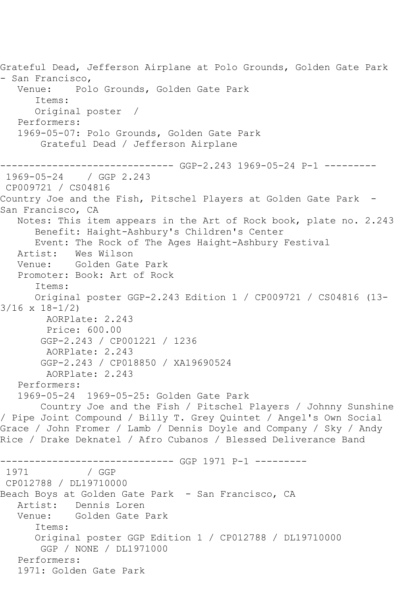Grateful Dead, Jefferson Airplane at Polo Grounds, Golden Gate Park - San Francisco,<br>Venue: Pol Polo Grounds, Golden Gate Park Items: Original poster / Performers: 1969-05-07: Polo Grounds, Golden Gate Park Grateful Dead / Jefferson Airplane ------------------------------ GGP-2.243 1969-05-24 P-1 --------- 1969-05-24 / GGP 2.243 CP009721 / CS04816 Country Joe and the Fish, Pitschel Players at Golden Gate Park - San Francisco, CA Notes: This item appears in the Art of Rock book, plate no. 2.243 Benefit: Haight-Ashbury's Children's Center Event: The Rock of The Ages Haight-Ashbury Festival Artist: Wes Wilson<br>Venue: Golden Gate Golden Gate Park Promoter: Book: Art of Rock Items: Original poster GGP-2.243 Edition 1 / CP009721 / CS04816 (13- 3/16 x 18-1/2) AORPlate: 2.243 Price: 600.00 GGP-2.243 / CP001221 / 1236 AORPlate: 2.243 GGP-2.243 / CP018850 / XA19690524 AORPlate: 2.243 Performers: 1969-05-24 1969-05-25: Golden Gate Park Country Joe and the Fish / Pitschel Players / Johnny Sunshine / Pipe Joint Compound / Billy T. Grey Quintet / Angel's Own Social Grace / John Fromer / Lamb / Dennis Doyle and Company / Sky / Andy Rice / Drake Deknatel / Afro Cubanos / Blessed Deliverance Band ------------------------------ GGP 1971 P-1 --------- / GGP CP012788 / DL19710000 Beach Boys at Golden Gate Park - San Francisco, CA Artist: Dennis Loren Venue: Golden Gate Park Items: Original poster GGP Edition 1 / CP012788 / DL19710000 GGP / NONE / DL1971000 Performers: 1971: Golden Gate Park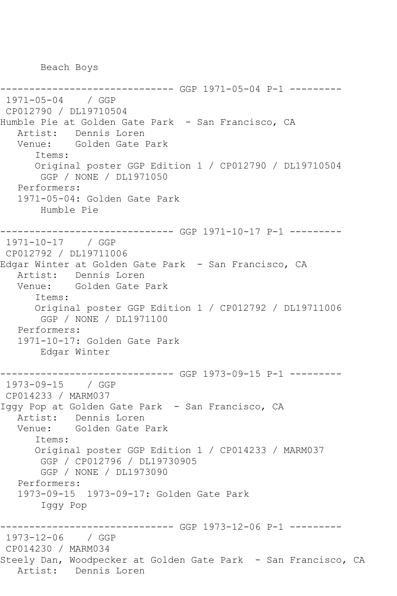Beach Boys

```
------------------------------ GGP 1971-05-04 P-1 ---------
1971-05-04 / GGP 
CP012790 / DL19710504
Humble Pie at Golden Gate Park - San Francisco, CA
   Artist: Dennis Loren
   Venue: Golden Gate Park
       Items:
       Original poster GGP Edition 1 / CP012790 / DL19710504
        GGP / NONE / DL1971050
   Performers:
   1971-05-04: Golden Gate Park
        Humble Pie
------------------------------ GGP 1971-10-17 P-1 ---------
1971-10-17 / GGP 
CP012792 / DL19711006
Edgar Winter at Golden Gate Park - San Francisco, CA
   Artist: Dennis Loren
   Venue: Golden Gate Park
       Items:
      Original poster GGP Edition 1 / CP012792 / DL19711006
        GGP / NONE / DL1971100
   Performers:
   1971-10-17: Golden Gate Park
        Edgar Winter
------------------------------ GGP 1973-09-15 P-1 ---------
1973-09-15 / GGP 
CP014233 / MARM037
Iggy Pop at Golden Gate Park - San Francisco, CA
  Artist: Dennis Loren<br>Venue: Golden Gate B
           Golden Gate Park
       Items:
       Original poster GGP Edition 1 / CP014233 / MARM037
        GGP / CP012796 / DL19730905
       GGP / NONE / DL1973090
   Performers:
   1973-09-15 1973-09-17: Golden Gate Park
        Iggy Pop
  ------------------------------ GGP 1973-12-06 P-1 ---------
1973-12-06 / GGP 
CP014230 / MARM034
Steely Dan, Woodpecker at Golden Gate Park - San Francisco, CA
   Artist: Dennis Loren
```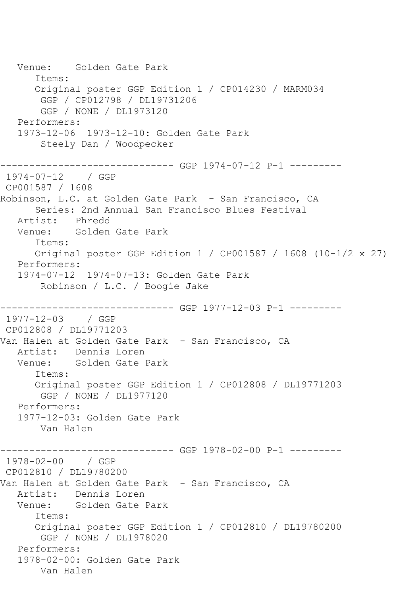Venue: Golden Gate Park Items: Original poster GGP Edition 1 / CP014230 / MARM034 GGP / CP012798 / DL19731206 GGP / NONE / DL1973120 Performers: 1973-12-06 1973-12-10: Golden Gate Park Steely Dan / Woodpecker ------------------------------ GGP 1974-07-12 P-1 --------- 1974-07-12 / GGP CP001587 / 1608 Robinson, L.C. at Golden Gate Park - San Francisco, CA Series: 2nd Annual San Francisco Blues Festival Artist: Phredd Venue: Golden Gate Park Items: Original poster GGP Edition 1 / CP001587 / 1608 (10-1/2 x 27) Performers: 1974-07-12 1974-07-13: Golden Gate Park Robinson / L.C. / Boogie Jake ------------------------------ GGP 1977-12-03 P-1 --------- 1977-12-03 / GGP CP012808 / DL19771203 Van Halen at Golden Gate Park - San Francisco, CA<br>Artist: Dennis Loren Dennis Loren Venue: Golden Gate Park Items: Original poster GGP Edition 1 / CP012808 / DL19771203 GGP / NONE / DL1977120 Performers: 1977-12-03: Golden Gate Park Van Halen ------------------------------ GGP 1978-02-00 P-1 --------- 1978-02-00 / GGP CP012810 / DL19780200 Van Halen at Golden Gate Park - San Francisco, CA<br>Artist: Dennis Loren Dennis Loren Venue: Golden Gate Park Items: Original poster GGP Edition 1 / CP012810 / DL19780200 GGP / NONE / DL1978020 Performers: 1978-02-00: Golden Gate Park Van Halen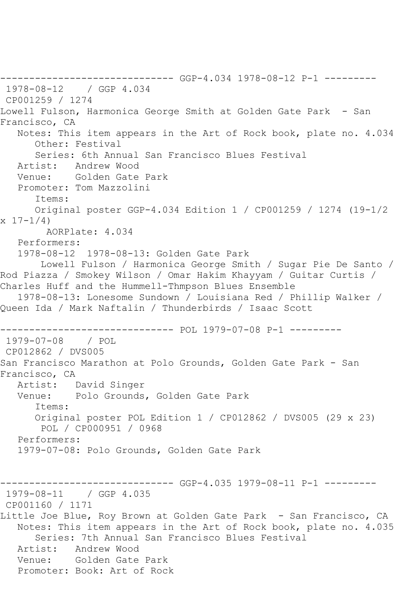------------------------------ GGP-4.034 1978-08-12 P-1 --------- 1978-08-12 / GGP 4.034 CP001259 / 1274 Lowell Fulson, Harmonica George Smith at Golden Gate Park - San Francisco, CA Notes: This item appears in the Art of Rock book, plate no. 4.034 Other: Festival Series: 6th Annual San Francisco Blues Festival Artist: Andrew Wood Venue: Golden Gate Park Promoter: Tom Mazzolini Items: Original poster GGP-4.034 Edition 1 / CP001259 / 1274 (19-1/2  $x 17 - 1/4$  AORPlate: 4.034 Performers: 1978-08-12 1978-08-13: Golden Gate Park Lowell Fulson / Harmonica George Smith / Sugar Pie De Santo / Rod Piazza / Smokey Wilson / Omar Hakim Khayyam / Guitar Curtis / Charles Huff and the Hummell-Thmpson Blues Ensemble 1978-08-13: Lonesome Sundown / Louisiana Red / Phillip Walker / Queen Ida / Mark Naftalin / Thunderbirds / Isaac Scott ------------------------------ POL 1979-07-08 P-1 --------- 1979-07-08 / POL CP012862 / DVS005 San Francisco Marathon at Polo Grounds, Golden Gate Park - San Francisco, CA<br>Artist: I David Singer Venue: Polo Grounds, Golden Gate Park Items: Original poster POL Edition 1 / CP012862 / DVS005 (29 x 23) POL / CP000951 / 0968 Performers: 1979-07-08: Polo Grounds, Golden Gate Park ------------------------------ GGP-4.035 1979-08-11 P-1 --------- 1979-08-11 / GGP 4.035 CP001160 / 1171 Little Joe Blue, Roy Brown at Golden Gate Park - San Francisco, CA Notes: This item appears in the Art of Rock book, plate no. 4.035 Series: 7th Annual San Francisco Blues Festival Artist: Andrew Wood Venue: Golden Gate Park Promoter: Book: Art of Rock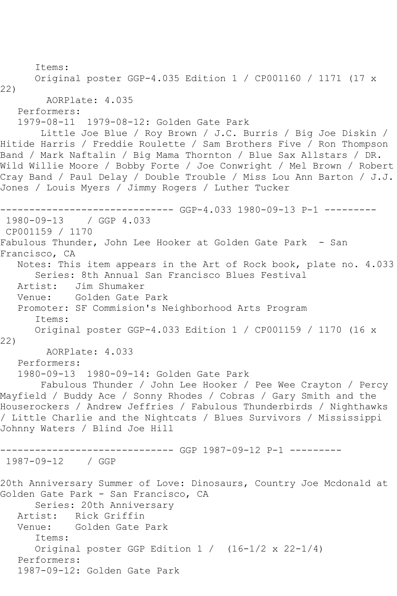```
 Items:
      Original poster GGP-4.035 Edition 1 / CP001160 / 1171 (17 x 
22)
        AORPlate: 4.035 
   Performers:
   1979-08-11 1979-08-12: Golden Gate Park
       Little Joe Blue / Roy Brown / J.C. Burris / Big Joe Diskin / 
Hitide Harris / Freddie Roulette / Sam Brothers Five / Ron Thompson 
Band / Mark Naftalin / Big Mama Thornton / Blue Sax Allstars / DR. 
Wild Willie Moore / Bobby Forte / Joe Conwright / Mel Brown / Robert 
Cray Band / Paul Delay / Double Trouble / Miss Lou Ann Barton / J.J. 
Jones / Louis Myers / Jimmy Rogers / Luther Tucker
------------------------------ GGP-4.033 1980-09-13 P-1 ---------
1980-09-13 / GGP 4.033
CP001159 / 1170
Fabulous Thunder, John Lee Hooker at Golden Gate Park - San 
Francisco, CA
   Notes: This item appears in the Art of Rock book, plate no. 4.033
      Series: 8th Annual San Francisco Blues Festival
   Artist: Jim Shumaker
   Venue: Golden Gate Park
   Promoter: SF Commision's Neighborhood Arts Program
      Items:
      Original poster GGP-4.033 Edition 1 / CP001159 / 1170 (16 x 
22)
        AORPlate: 4.033 
   Performers:
   1980-09-13 1980-09-14: Golden Gate Park
       Fabulous Thunder / John Lee Hooker / Pee Wee Crayton / Percy 
Mayfield / Buddy Ace / Sonny Rhodes / Cobras / Gary Smith and the 
Houserockers / Andrew Jeffries / Fabulous Thunderbirds / Nighthawks 
/ Little Charlie and the Nightcats / Blues Survivors / Mississippi 
Johnny Waters / Blind Joe Hill
------------------------------ GGP 1987-09-12 P-1 ---------
1987-09-12 / GGP 
20th Anniversary Summer of Love: Dinosaurs, Country Joe Mcdonald at 
Golden Gate Park - San Francisco, CA
      Series: 20th Anniversary
   Artist: Rick Griffin
   Venue: Golden Gate Park
      Items:
      Original poster GGP Edition 1 / (16-1/2 x 22-1/4)
   Performers:
   1987-09-12: Golden Gate Park
```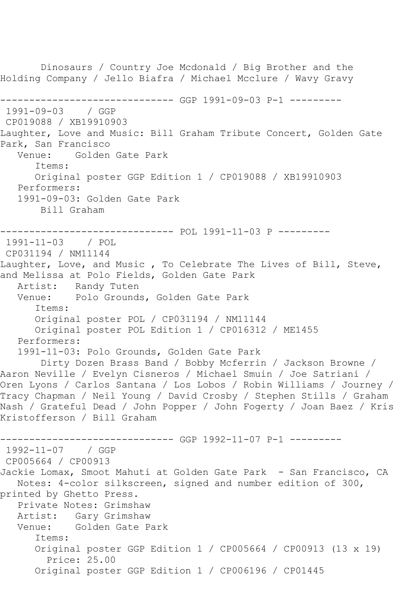```
 Dinosaurs / Country Joe Mcdonald / Big Brother and the 
Holding Company / Jello Biafra / Michael Mcclure / Wavy Gravy
------------------------------ GGP 1991-09-03 P-1 ---------
1991-09-03 / GGP 
CP019088 / XB19910903
Laughter, Love and Music: Bill Graham Tribute Concert, Golden Gate 
Park, San Francisco<br>Venue: Golden
             Golden Gate Park
       Items:
       Original poster GGP Edition 1 / CP019088 / XB19910903
   Performers:
   1991-09-03: Golden Gate Park
        Bill Graham
      ------------------------------ POL 1991-11-03 P ---------
1991-11-03 / POL 
CP031194 / NM11144
Laughter, Love, and Music , To Celebrate The Lives of Bill, Steve, 
and Melissa at Polo Fields, Golden Gate Park
   Artist: Randy Tuten
   Venue: Polo Grounds, Golden Gate Park
      Items:
       Original poster POL / CP031194 / NM11144
      Original poster POL Edition 1 / CP016312 / ME1455
   Performers:
   1991-11-03: Polo Grounds, Golden Gate Park
        Dirty Dozen Brass Band / Bobby Mcferrin / Jackson Browne / 
Aaron Neville / Evelyn Cisneros / Michael Smuin / Joe Satriani / 
Oren Lyons / Carlos Santana / Los Lobos / Robin Williams / Journey / 
Tracy Chapman / Neil Young / David Crosby / Stephen Stills / Graham 
Nash / Grateful Dead / John Popper / John Fogerty / Joan Baez / Kris 
Kristofferson / Bill Graham
                   ------------------------------ GGP 1992-11-07 P-1 ---------
1992-11-07 / GGP 
CP005664 / CP00913
Jackie Lomax, Smoot Mahuti at Golden Gate Park - San Francisco, CA
   Notes: 4-color silkscreen, signed and number edition of 300, 
printed by Ghetto Press.
   Private Notes: Grimshaw
   Artist: Gary Grimshaw
   Venue: Golden Gate Park
       Items:
      Original poster GGP Edition 1 / CP005664 / CP00913 (13 x 19)
         Price: 25.00
       Original poster GGP Edition 1 / CP006196 / CP01445
```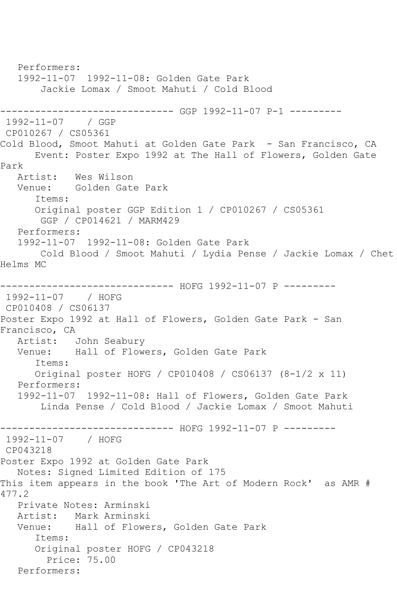Performers: 1992-11-07 1992-11-08: Golden Gate Park Jackie Lomax / Smoot Mahuti / Cold Blood ------------------------------ GGP 1992-11-07 P-1 --------- 1992-11-07 / GGP CP010267 / CS05361 Cold Blood, Smoot Mahuti at Golden Gate Park - San Francisco, CA Event: Poster Expo 1992 at The Hall of Flowers, Golden Gate Park<br>Artist: Wes Wilson Venue: Golden Gate Park Items: Original poster GGP Edition 1 / CP010267 / CS05361 GGP / CP014621 / MARM429 Performers: 1992-11-07 1992-11-08: Golden Gate Park Cold Blood / Smoot Mahuti / Lydia Pense / Jackie Lomax / Chet Helms MC ------------------------------ HOFG 1992-11-07 P --------- 1992-11-07 / HOFG CP010408 / CS06137 Poster Expo 1992 at Hall of Flowers, Golden Gate Park - San Francisco, CA Artist: John Seabury Venue: Hall of Flowers, Golden Gate Park Items: Original poster HOFG / CP010408 / CS06137 (8-1/2 x 11) Performers: 1992-11-07 1992-11-08: Hall of Flowers, Golden Gate Park Linda Pense / Cold Blood / Jackie Lomax / Smoot Mahuti ------------------------------ HOFG 1992-11-07 P --------- 1992-11-07 / HOFG CP043218 Poster Expo 1992 at Golden Gate Park Notes: Signed Limited Edition of 175 This item appears in the book 'The Art of Modern Rock' as AMR # 477.2 Private Notes: Arminski Artist: Mark Arminski Venue: Hall of Flowers, Golden Gate Park Items: Original poster HOFG / CP043218 Price: 75.00 Performers: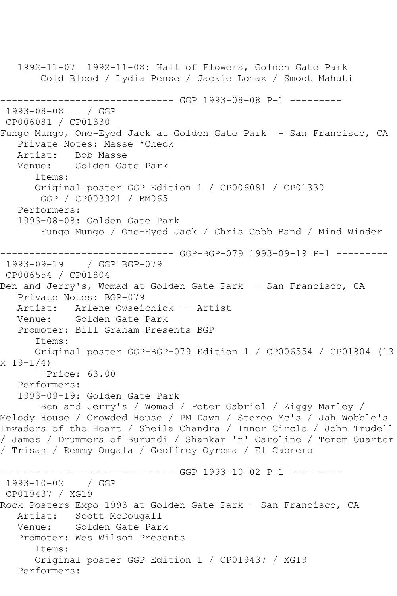1992-11-07 1992-11-08: Hall of Flowers, Golden Gate Park Cold Blood / Lydia Pense / Jackie Lomax / Smoot Mahuti ------------------------------ GGP 1993-08-08 P-1 --------- 1993-08-08 / GGP CP006081 / CP01330 Fungo Mungo, One-Eyed Jack at Golden Gate Park - San Francisco, CA Private Notes: Masse \*Check<br>Artist: Bob Masse Bob Masse Venue: Golden Gate Park Items: Original poster GGP Edition 1 / CP006081 / CP01330 GGP / CP003921 / BM065 Performers: 1993-08-08: Golden Gate Park Fungo Mungo / One-Eyed Jack / Chris Cobb Band / Mind Winder ------------------------------ GGP-BGP-079 1993-09-19 P-1 --------- 1993-09-19 / GGP BGP-079 CP006554 / CP01804 Ben and Jerry's, Womad at Golden Gate Park - San Francisco, CA Private Notes: BGP-079 Artist: Arlene Owseichick -- Artist Venue: Golden Gate Park Promoter: Bill Graham Presents BGP Items: Original poster GGP-BGP-079 Edition 1 / CP006554 / CP01804 (13 x 19-1/4) Price: 63.00 Performers: 1993-09-19: Golden Gate Park Ben and Jerry's / Womad / Peter Gabriel / Ziggy Marley / Melody House / Crowded House / PM Dawn / Stereo Mc's / Jah Wobble's Invaders of the Heart / Sheila Chandra / Inner Circle / John Trudell / James / Drummers of Burundi / Shankar 'n' Caroline / Terem Quarter / Trisan / Remmy Ongala / Geoffrey Oyrema / El Cabrero ------------------------------ GGP 1993-10-02 P-1 --------- 1993-10-02 / GGP CP019437 / XG19 Rock Posters Expo 1993 at Golden Gate Park - San Francisco, CA Artist: Scott McDougall Venue: Golden Gate Park Promoter: Wes Wilson Presents Items: Original poster GGP Edition 1 / CP019437 / XG19 Performers: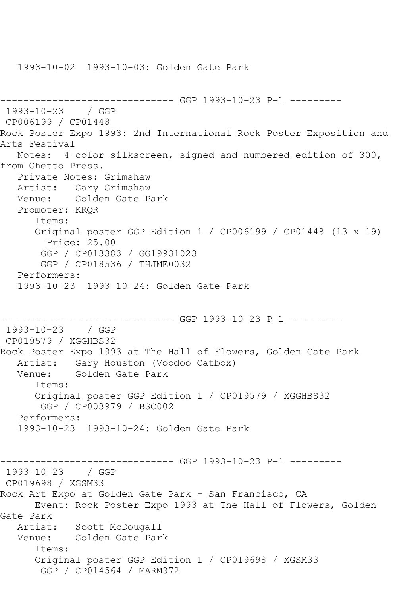```
------------------------------ GGP 1993-10-23 P-1 ---------
1993-10-23 / GGP 
CP006199 / CP01448
Rock Poster Expo 1993: 2nd International Rock Poster Exposition and 
Arts Festival
   Notes: 4-color silkscreen, signed and numbered edition of 300, 
from Ghetto Press.
   Private Notes: Grimshaw
   Artist: Gary Grimshaw
   Venue: Golden Gate Park
   Promoter: KRQR
      Items:
      Original poster GGP Edition 1 / CP006199 / CP01448 (13 x 19)
        Price: 25.00
       GGP / CP013383 / GG19931023
       GGP / CP018536 / THJME0032
   Performers:
   1993-10-23 1993-10-24: Golden Gate Park
------------------------------ GGP 1993-10-23 P-1 ---------
1993-10-23 / GGP 
CP019579 / XGGHBS32
Rock Poster Expo 1993 at The Hall of Flowers, Golden Gate Park
   Artist: Gary Houston (Voodoo Catbox)
   Venue: Golden Gate Park
      Items:
      Original poster GGP Edition 1 / CP019579 / XGGHBS32
       GGP / CP003979 / BSC002
   Performers:
   1993-10-23 1993-10-24: Golden Gate Park
------------------------------ GGP 1993-10-23 P-1 ---------
1993-10-23 / GGP 
CP019698 / XGSM33
Rock Art Expo at Golden Gate Park - San Francisco, CA
      Event: Rock Poster Expo 1993 at The Hall of Flowers, Golden 
Gate Park
 Artist: Scott McDougall
 Venue: Golden Gate Park
      Items:
      Original poster GGP Edition 1 / CP019698 / XGSM33
       GGP / CP014564 / MARM372
```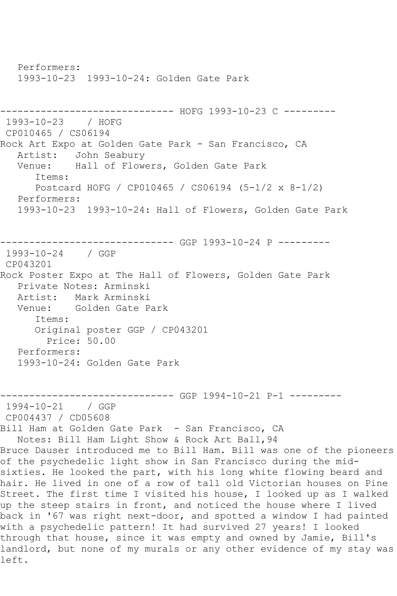Performers: 1993-10-23 1993-10-24: Golden Gate Park ------------------------------ HOFG 1993-10-23 C --------- 1993-10-23 / HOFG CP010465 / CS06194 Rock Art Expo at Golden Gate Park - San Francisco, CA Artist: John Seabury Venue: Hall of Flowers, Golden Gate Park Items: Postcard HOFG / CP010465 / CS06194 (5-1/2 x 8-1/2) Performers: 1993-10-23 1993-10-24: Hall of Flowers, Golden Gate Park ------------------------------ GGP 1993-10-24 P --------- 1993-10-24 / GGP CP043201 Rock Poster Expo at The Hall of Flowers, Golden Gate Park Private Notes: Arminski Mark Arminski Venue: Golden Gate Park Items: Original poster GGP / CP043201 Price: 50.00 Performers: 1993-10-24: Golden Gate Park ------------------------------ GGP 1994-10-21 P-1 --------- 1994-10-21 / GGP CP004437 / CD05608 Bill Ham at Golden Gate Park - San Francisco, CA Notes: Bill Ham Light Show & Rock Art Ball,94 Bruce Dauser introduced me to Bill Ham. Bill was one of the pioneers of the psychedelic light show in San Francisco during the midsixties. He looked the part, with his long white flowing beard and hair. He lived in one of a row of tall old Victorian houses on Pine Street. The first time I visited his house, I looked up as I walked up the steep stairs in front, and noticed the house where I lived back in '67 was right next-door, and spotted a window I had painted with a psychedelic pattern! It had survived 27 years! I looked through that house, since it was empty and owned by Jamie, Bill's landlord, but none of my murals or any other evidence of my stay was left.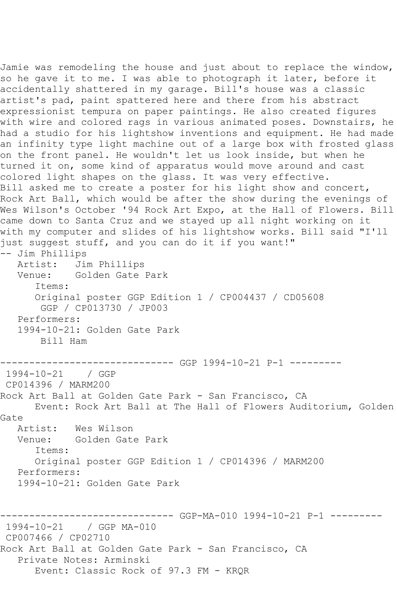Jamie was remodeling the house and just about to replace the window, so he gave it to me. I was able to photograph it later, before it accidentally shattered in my garage. Bill's house was a classic artist's pad, paint spattered here and there from his abstract expressionist tempura on paper paintings. He also created figures with wire and colored rags in various animated poses. Downstairs, he had a studio for his lightshow inventions and equipment. He had made an infinity type light machine out of a large box with frosted glass on the front panel. He wouldn't let us look inside, but when he turned it on, some kind of apparatus would move around and cast colored light shapes on the glass. It was very effective. Bill asked me to create a poster for his light show and concert, Rock Art Ball, which would be after the show during the evenings of Wes Wilson's October '94 Rock Art Expo, at the Hall of Flowers. Bill came down to Santa Cruz and we stayed up all night working on it with my computer and slides of his lightshow works. Bill said "I'll just suggest stuff, and you can do it if you want!" -- Jim Phillips Artist: Jim Phillips<br>Venue: Golden Gate Golden Gate Park Items: Original poster GGP Edition 1 / CP004437 / CD05608 GGP / CP013730 / JP003 Performers: 1994-10-21: Golden Gate Park Bill Ham ------------------------------ GGP 1994-10-21 P-1 --------- 1994-10-21 / GGP CP014396 / MARM200 Rock Art Ball at Golden Gate Park - San Francisco, CA Event: Rock Art Ball at The Hall of Flowers Auditorium, Golden Gate<br>Artist: Wes Wilson Venue: Golden Gate Park Items: Original poster GGP Edition 1 / CP014396 / MARM200 Performers: 1994-10-21: Golden Gate Park ------------------------------ GGP-MA-010 1994-10-21 P-1 --------- 1994-10-21 / GGP MA-010 CP007466 / CP02710 Rock Art Ball at Golden Gate Park - San Francisco, CA Private Notes: Arminski Event: Classic Rock of 97.3 FM - KRQR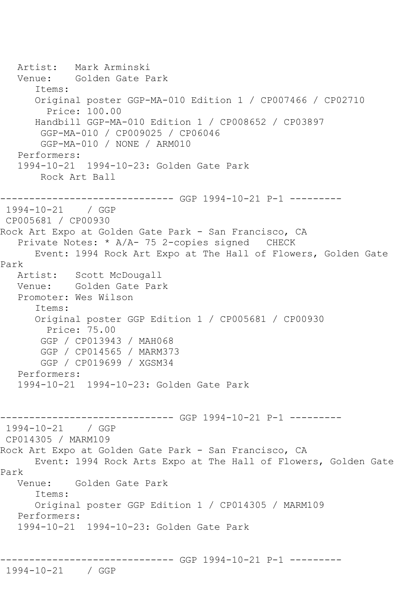Artist: Mark Arminski Venue: Golden Gate Park Items: Original poster GGP-MA-010 Edition 1 / CP007466 / CP02710 Price: 100.00 Handbill GGP-MA-010 Edition 1 / CP008652 / CP03897 GGP-MA-010 / CP009025 / CP06046 GGP-MA-010 / NONE / ARM010 Performers: 1994-10-21 1994-10-23: Golden Gate Park Rock Art Ball ------------------------------ GGP 1994-10-21 P-1 --------- 1994-10-21 / GGP CP005681 / CP00930 Rock Art Expo at Golden Gate Park - San Francisco, CA Private Notes: \* A/A- 75 2-copies signed CHECK Event: 1994 Rock Art Expo at The Hall of Flowers, Golden Gate Park Artist: Scott McDougall Venue: Golden Gate Park Promoter: Wes Wilson Items: Original poster GGP Edition 1 / CP005681 / CP00930 Price: 75.00 GGP / CP013943 / MAH068 GGP / CP014565 / MARM373 GGP / CP019699 / XGSM34 Performers: 1994-10-21 1994-10-23: Golden Gate Park ------------------------------ GGP 1994-10-21 P-1 --------- 1994-10-21 / GGP CP014305 / MARM109 Rock Art Expo at Golden Gate Park - San Francisco, CA Event: 1994 Rock Arts Expo at The Hall of Flowers, Golden Gate Park Venue: Golden Gate Park Items: Original poster GGP Edition 1 / CP014305 / MARM109 Performers: 1994-10-21 1994-10-23: Golden Gate Park ------------------------------ GGP 1994-10-21 P-1 --------- 1994-10-21 / GGP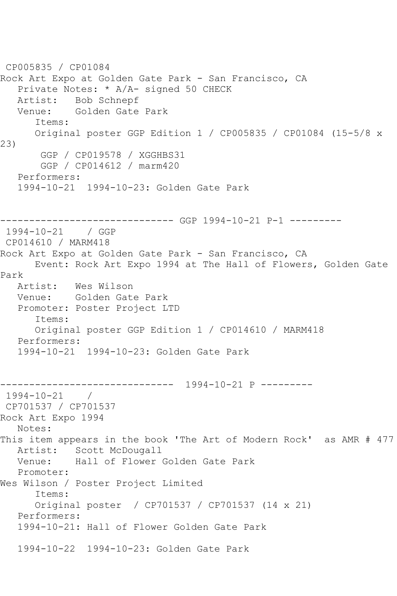CP005835 / CP01084 Rock Art Expo at Golden Gate Park - San Francisco, CA Private Notes: \* A/A- signed 50 CHECK Artist: Bob Schnepf<br>Venue: Golden Gate Golden Gate Park Items: Original poster GGP Edition 1 / CP005835 / CP01084 (15-5/8 x 23) GGP / CP019578 / XGGHBS31 GGP / CP014612 / marm420 Performers: 1994-10-21 1994-10-23: Golden Gate Park ------------------------------ GGP 1994-10-21 P-1 --------- 1994-10-21 / GGP CP014610 / MARM418 Rock Art Expo at Golden Gate Park - San Francisco, CA Event: Rock Art Expo 1994 at The Hall of Flowers, Golden Gate Park Artist: Wes Wilson Venue: Golden Gate Park Promoter: Poster Project LTD Items: Original poster GGP Edition 1 / CP014610 / MARM418 Performers: 1994-10-21 1994-10-23: Golden Gate Park ------------------------------ 1994-10-21 P --------- 1994-10-21 / CP701537 / CP701537 Rock Art Expo 1994 Notes: This item appears in the book 'The Art of Modern Rock' as AMR # 477 Artist: Scott McDougall Venue: Hall of Flower Golden Gate Park Promoter: Wes Wilson / Poster Project Limited Items: Original poster / CP701537 / CP701537 (14 x 21) Performers: 1994-10-21: Hall of Flower Golden Gate Park 1994-10-22 1994-10-23: Golden Gate Park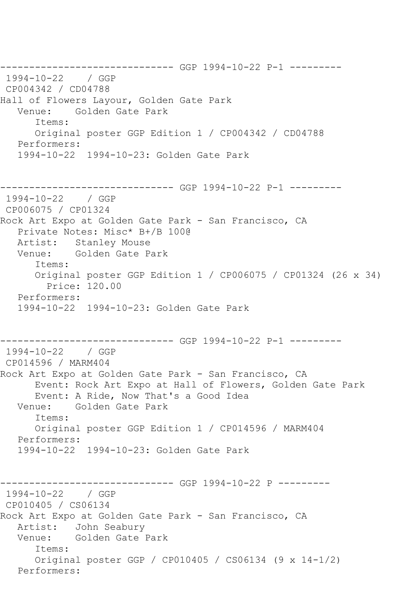------------------------------ GGP 1994-10-22 P-1 --------- 1994-10-22 / GGP CP004342 / CD04788 Hall of Flowers Layour, Golden Gate Park<br>Venue: Golden Gate Park Golden Gate Park Items: Original poster GGP Edition 1 / CP004342 / CD04788 Performers: 1994-10-22 1994-10-23: Golden Gate Park ------------------------------ GGP 1994-10-22 P-1 --------- 1994-10-22 / GGP CP006075 / CP01324 Rock Art Expo at Golden Gate Park - San Francisco, CA Private Notes: Misc\* B+/B 100@ Artist: Stanley Mouse Venue: Golden Gate Park Items: Original poster GGP Edition 1 / CP006075 / CP01324 (26 x 34) Price: 120.00 Performers: 1994-10-22 1994-10-23: Golden Gate Park ------------------------------ GGP 1994-10-22 P-1 --------- 1994-10-22 / GGP CP014596 / MARM404 Rock Art Expo at Golden Gate Park - San Francisco, CA Event: Rock Art Expo at Hall of Flowers, Golden Gate Park Event: A Ride, Now That's a Good Idea Venue: Golden Gate Park Items: Original poster GGP Edition 1 / CP014596 / MARM404 Performers: 1994-10-22 1994-10-23: Golden Gate Park ------------------------------ GGP 1994-10-22 P --------- 1994-10-22 / GGP CP010405 / CS06134 Rock Art Expo at Golden Gate Park - San Francisco, CA Artist: John Seabury<br>Venue: Golden Gate Golden Gate Park Items: Original poster GGP / CP010405 / CS06134 (9 x 14-1/2) Performers: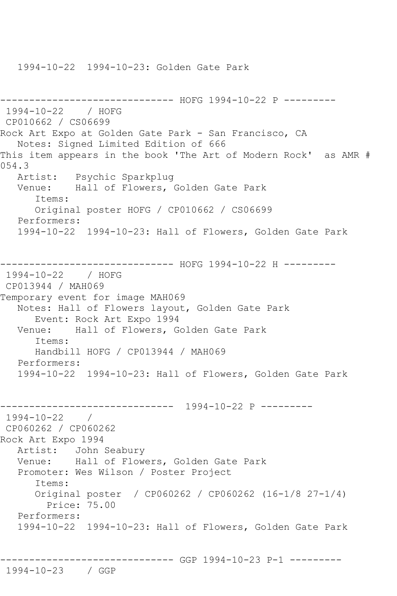1994-10-22 1994-10-23: Golden Gate Park

------------------------------ HOFG 1994-10-22 P --------- 1994-10-22 / HOFG CP010662 / CS06699 Rock Art Expo at Golden Gate Park - San Francisco, CA Notes: Signed Limited Edition of 666 This item appears in the book 'The Art of Modern Rock' as AMR # 054.3<br>:Artist Psychic Sparkplug Venue: Hall of Flowers, Golden Gate Park Items: Original poster HOFG / CP010662 / CS06699 Performers: 1994-10-22 1994-10-23: Hall of Flowers, Golden Gate Park ---------- HOFG 1994-10-22 H ---------1994-10-22 / HOFG CP013944 / MAH069 Temporary event for image MAH069 Notes: Hall of Flowers layout, Golden Gate Park Event: Rock Art Expo 1994<br>Venue: Hall of Flowers, G Hall of Flowers, Golden Gate Park Items: Handbill HOFG / CP013944 / MAH069 Performers: 1994-10-22 1994-10-23: Hall of Flowers, Golden Gate Park ------------------------------ 1994-10-22 P --------- 1994-10-22 / CP060262 / CP060262 Rock Art Expo 1994 Artist: John Seabury Venue: Hall of Flowers, Golden Gate Park Promoter: Wes Wilson / Poster Project Items: Original poster / CP060262 / CP060262 (16-1/8 27-1/4) Price: 75.00 Performers: 1994-10-22 1994-10-23: Hall of Flowers, Golden Gate Park ------------------------------ GGP 1994-10-23 P-1 ---------

1994-10-23 / GGP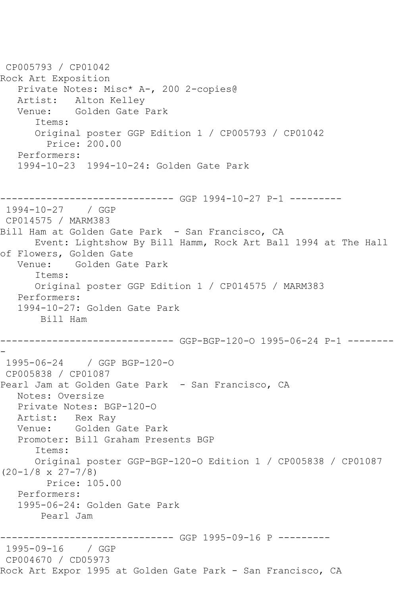CP005793 / CP01042 Rock Art Exposition Private Notes: Misc\* A-, 200 2-copies@ Artist: Alton Kelley<br>Venue: Golden Gate Golden Gate Park Items: Original poster GGP Edition 1 / CP005793 / CP01042 Price: 200.00 Performers: 1994-10-23 1994-10-24: Golden Gate Park ------------------------------ GGP 1994-10-27 P-1 --------- 1994-10-27 / GGP CP014575 / MARM383 Bill Ham at Golden Gate Park - San Francisco, CA Event: Lightshow By Bill Hamm, Rock Art Ball 1994 at The Hall of Flowers, Golden Gate<br>Venue: Golden Gate Golden Gate Park Items: Original poster GGP Edition 1 / CP014575 / MARM383 Performers: 1994-10-27: Golden Gate Park Bill Ham ------------------------------ GGP-BGP-120-O 1995-06-24 P-1 -------- - 1995-06-24 / GGP BGP-120-O CP005838 / CP01087 Pearl Jam at Golden Gate Park - San Francisco, CA Notes: Oversize Private Notes: BGP-120-O Artist: Rex Ray<br>Venue: Golden Golden Gate Park Promoter: Bill Graham Presents BGP Items: Original poster GGP-BGP-120-O Edition 1 / CP005838 / CP01087  $(20-1/8 \times 27-7/8)$  Price: 105.00 Performers: 1995-06-24: Golden Gate Park Pearl Jam ------------------------------ GGP 1995-09-16 P --------- 1995-09-16 / GGP CP004670 / CD05973 Rock Art Expor 1995 at Golden Gate Park - San Francisco, CA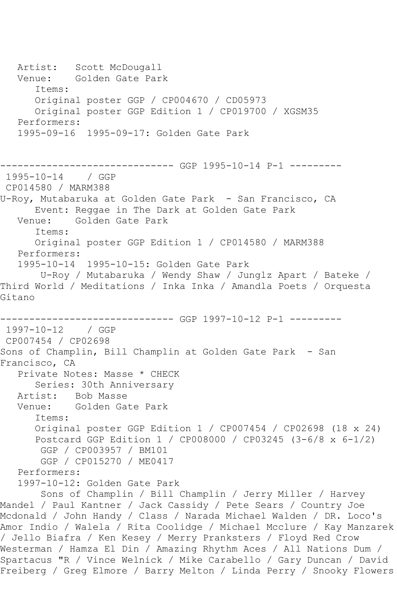Artist: Scott McDougall Venue: Golden Gate Park Items: Original poster GGP / CP004670 / CD05973 Original poster GGP Edition 1 / CP019700 / XGSM35 Performers: 1995-09-16 1995-09-17: Golden Gate Park ------------------------------ GGP 1995-10-14 P-1 --------- 1995-10-14 / GGP CP014580 / MARM388 U-Roy, Mutabaruka at Golden Gate Park - San Francisco, CA Event: Reggae in The Dark at Golden Gate Park Venue: Golden Gate Park Items: Original poster GGP Edition 1 / CP014580 / MARM388 Performers: 1995-10-14 1995-10-15: Golden Gate Park U-Roy / Mutabaruka / Wendy Shaw / Junglz Apart / Bateke / Third World / Meditations / Inka Inka / Amandla Poets / Orquesta Gitano ------------------------------ GGP 1997-10-12 P-1 --------- 1997-10-12 / GGP CP007454 / CP02698 Sons of Champlin, Bill Champlin at Golden Gate Park - San Francisco, CA Private Notes: Masse \* CHECK Series: 30th Anniversary Artist: Bob Masse<br>Venue: Golden Ga Golden Gate Park Items: Original poster GGP Edition 1 / CP007454 / CP02698 (18 x 24) Postcard GGP Edition 1 / CP008000 / CP03245 (3-6/8 x 6-1/2) GGP / CP003957 / BM101 GGP / CP015270 / ME0417 Performers: 1997-10-12: Golden Gate Park Sons of Champlin / Bill Champlin / Jerry Miller / Harvey Mandel / Paul Kantner / Jack Cassidy / Pete Sears / Country Joe Mcdonald / John Handy / Class / Narada Michael Walden / DR. Loco's Amor Indio / Walela / Rita Coolidge / Michael Mcclure / Kay Manzarek / Jello Biafra / Ken Kesey / Merry Pranksters / Floyd Red Crow Westerman / Hamza El Din / Amazing Rhythm Aces / All Nations Dum / Spartacus "R / Vince Welnick / Mike Carabello / Gary Duncan / David Freiberg / Greg Elmore / Barry Melton / Linda Perry / Snooky Flowers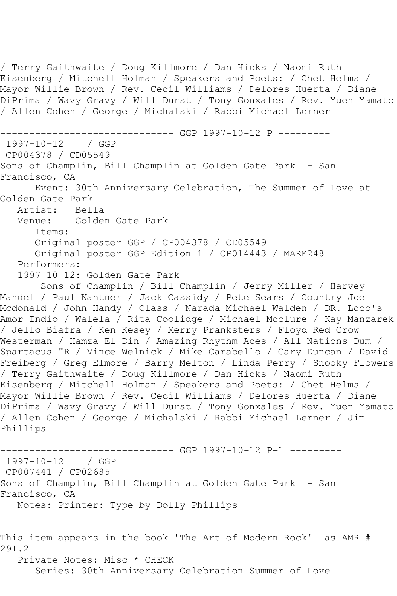/ Terry Gaithwaite / Doug Killmore / Dan Hicks / Naomi Ruth Eisenberg / Mitchell Holman / Speakers and Poets: / Chet Helms / Mayor Willie Brown / Rev. Cecil Williams / Delores Huerta / Diane DiPrima / Wavy Gravy / Will Durst / Tony Gonxales / Rev. Yuen Yamato / Allen Cohen / George / Michalski / Rabbi Michael Lerner ------------------------------ GGP 1997-10-12 P --------- 1997-10-12 / GGP CP004378 / CD05549 Sons of Champlin, Bill Champlin at Golden Gate Park - San Francisco, CA Event: 30th Anniversary Celebration, The Summer of Love at Golden Gate Park<br>Artist: Bella Artist: Venue: Golden Gate Park Items: Original poster GGP / CP004378 / CD05549 Original poster GGP Edition 1 / CP014443 / MARM248 Performers: 1997-10-12: Golden Gate Park Sons of Champlin / Bill Champlin / Jerry Miller / Harvey Mandel / Paul Kantner / Jack Cassidy / Pete Sears / Country Joe Mcdonald / John Handy / Class / Narada Michael Walden / DR. Loco's Amor Indio / Walela / Rita Coolidge / Michael Mcclure / Kay Manzarek / Jello Biafra / Ken Kesey / Merry Pranksters / Floyd Red Crow Westerman / Hamza El Din / Amazing Rhythm Aces / All Nations Dum / Spartacus "R / Vince Welnick / Mike Carabello / Gary Duncan / David Freiberg / Greg Elmore / Barry Melton / Linda Perry / Snooky Flowers / Terry Gaithwaite / Doug Killmore / Dan Hicks / Naomi Ruth Eisenberg / Mitchell Holman / Speakers and Poets: / Chet Helms / Mayor Willie Brown / Rev. Cecil Williams / Delores Huerta / Diane DiPrima / Wavy Gravy / Will Durst / Tony Gonxales / Rev. Yuen Yamato / Allen Cohen / George / Michalski / Rabbi Michael Lerner / Jim Phillips ------------------------------ GGP 1997-10-12 P-1 --------- 1997-10-12 / GGP CP007441 / CP02685 Sons of Champlin, Bill Champlin at Golden Gate Park - San Francisco, CA Notes: Printer: Type by Dolly Phillips This item appears in the book 'The Art of Modern Rock' as AMR # 291.2 Private Notes: Misc \* CHECK Series: 30th Anniversary Celebration Summer of Love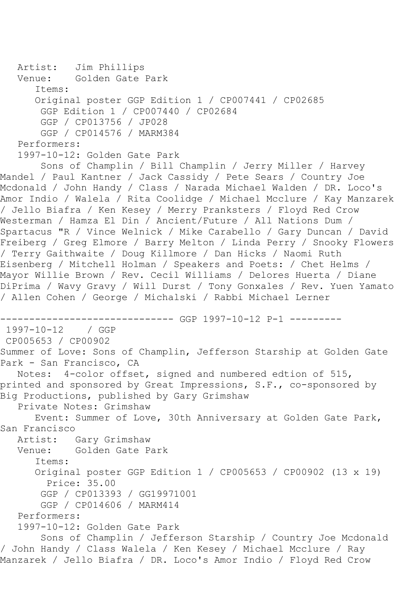```
 Artist: Jim Phillips
   Venue: Golden Gate Park
      Items:
      Original poster GGP Edition 1 / CP007441 / CP02685
       GGP Edition 1 / CP007440 / CP02684
       GGP / CP013756 / JP028
       GGP / CP014576 / MARM384
   Performers:
   1997-10-12: Golden Gate Park
        Sons of Champlin / Bill Champlin / Jerry Miller / Harvey 
Mandel / Paul Kantner / Jack Cassidy / Pete Sears / Country Joe 
Mcdonald / John Handy / Class / Narada Michael Walden / DR. Loco's 
Amor Indio / Walela / Rita Coolidge / Michael Mcclure / Kay Manzarek 
/ Jello Biafra / Ken Kesey / Merry Pranksters / Floyd Red Crow 
Westerman / Hamza El Din / Ancient/Future / All Nations Dum / 
Spartacus "R / Vince Welnick / Mike Carabello / Gary Duncan / David 
Freiberg / Greg Elmore / Barry Melton / Linda Perry / Snooky Flowers 
/ Terry Gaithwaite / Doug Killmore / Dan Hicks / Naomi Ruth 
Eisenberg / Mitchell Holman / Speakers and Poets: / Chet Helms / 
Mayor Willie Brown / Rev. Cecil Williams / Delores Huerta / Diane 
DiPrima / Wavy Gravy / Will Durst / Tony Gonxales / Rev. Yuen Yamato 
/ Allen Cohen / George / Michalski / Rabbi Michael Lerner
------------------------------ GGP 1997-10-12 P-1 ---------
1997-10-12 / GGP 
CP005653 / CP00902
Summer of Love: Sons of Champlin, Jefferson Starship at Golden Gate 
Park - San Francisco, CA
   Notes: 4-color offset, signed and numbered edtion of 515, 
printed and sponsored by Great Impressions, S.F., co-sponsored by 
Big Productions, published by Gary Grimshaw
   Private Notes: Grimshaw
      Event: Summer of Love, 30th Anniversary at Golden Gate Park, 
San Francisco
   Artist: Gary Grimshaw
   Venue: Golden Gate Park
       Items:
      Original poster GGP Edition 1 / CP005653 / CP00902 (13 x 19)
        Price: 35.00
       GGP / CP013393 / GG19971001
       GGP / CP014606 / MARM414
   Performers:
   1997-10-12: Golden Gate Park
        Sons of Champlin / Jefferson Starship / Country Joe Mcdonald 
/ John Handy / Class Walela / Ken Kesey / Michael Mcclure / Ray 
Manzarek / Jello Biafra / DR. Loco's Amor Indio / Floyd Red Crow
```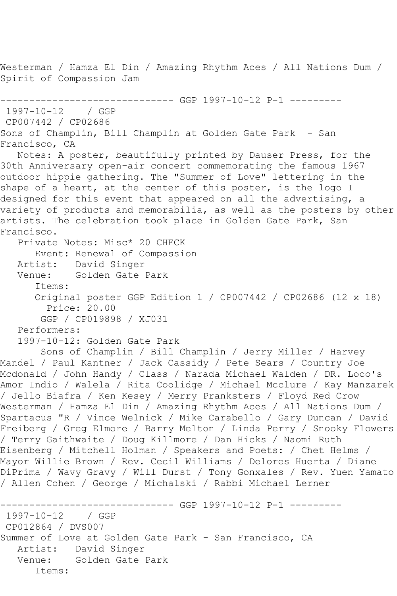Westerman / Hamza El Din / Amazing Rhythm Aces / All Nations Dum / Spirit of Compassion Jam ------------------------------ GGP 1997-10-12 P-1 ---------

```
1997-10-12 / GGP 
CP007442 / CP02686
Sons of Champlin, Bill Champlin at Golden Gate Park - San 
Francisco, CA
   Notes: A poster, beautifully printed by Dauser Press, for the 
30th Anniversary open-air concert commemorating the famous 1967 
outdoor hippie gathering. The "Summer of Love" lettering in the 
shape of a heart, at the center of this poster, is the logo I 
designed for this event that appeared on all the advertising, a 
variety of products and memorabilia, as well as the posters by other 
artists. The celebration took place in Golden Gate Park, San 
Francisco.
    Private Notes: Misc* 20 CHECK
  Event: Renewal of Compassion<br>Artist: David Singer
            David Singer
   Venue: Golden Gate Park
       Items:
       Original poster GGP Edition 1 / CP007442 / CP02686 (12 x 18)
         Price: 20.00
        GGP / CP019898 / XJ031
    Performers:
    1997-10-12: Golden Gate Park
```
 Sons of Champlin / Bill Champlin / Jerry Miller / Harvey Mandel / Paul Kantner / Jack Cassidy / Pete Sears / Country Joe Mcdonald / John Handy / Class / Narada Michael Walden / DR. Loco's Amor Indio / Walela / Rita Coolidge / Michael Mcclure / Kay Manzarek / Jello Biafra / Ken Kesey / Merry Pranksters / Floyd Red Crow Westerman / Hamza El Din / Amazing Rhythm Aces / All Nations Dum / Spartacus "R / Vince Welnick / Mike Carabello / Gary Duncan / David Freiberg / Greg Elmore / Barry Melton / Linda Perry / Snooky Flowers / Terry Gaithwaite / Doug Killmore / Dan Hicks / Naomi Ruth Eisenberg / Mitchell Holman / Speakers and Poets: / Chet Helms / Mayor Willie Brown / Rev. Cecil Williams / Delores Huerta / Diane DiPrima / Wavy Gravy / Will Durst / Tony Gonxales / Rev. Yuen Yamato / Allen Cohen / George / Michalski / Rabbi Michael Lerner

```
------------------------------ GGP 1997-10-12 P-1 ---------
1997-10-12
CP012864 / DVS007
Summer of Love at Golden Gate Park - San Francisco, CA
   Artist: David Singer
   Venue: Golden Gate Park
       Items:
```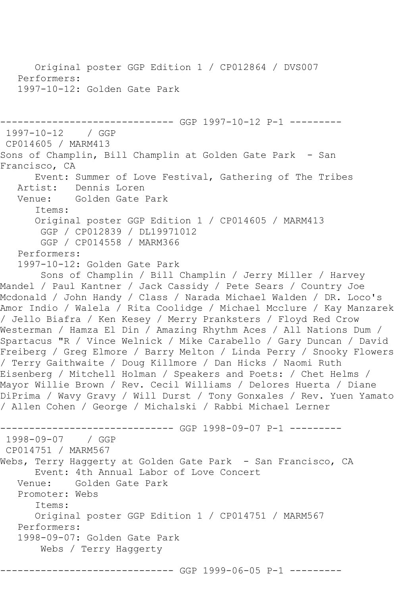```
 Original poster GGP Edition 1 / CP012864 / DVS007
   Performers:
   1997-10-12: Golden Gate Park
       ------------------------------ GGP 1997-10-12 P-1 ---------
1997-10-12 / GGP 
CP014605 / MARM413
Sons of Champlin, Bill Champlin at Golden Gate Park - San
Francisco, CA
      Event: Summer of Love Festival, Gathering of The Tribes
   Artist: Dennis Loren
   Venue: Golden Gate Park
      Items:
      Original poster GGP Edition 1 / CP014605 / MARM413
       GGP / CP012839 / DL19971012
       GGP / CP014558 / MARM366
   Performers:
   1997-10-12: Golden Gate Park
       Sons of Champlin / Bill Champlin / Jerry Miller / Harvey 
Mandel / Paul Kantner / Jack Cassidy / Pete Sears / Country Joe 
Mcdonald / John Handy / Class / Narada Michael Walden / DR. Loco's 
Amor Indio / Walela / Rita Coolidge / Michael Mcclure / Kay Manzarek 
/ Jello Biafra / Ken Kesey / Merry Pranksters / Floyd Red Crow 
Westerman / Hamza El Din / Amazing Rhythm Aces / All Nations Dum / 
Spartacus "R / Vince Welnick / Mike Carabello / Gary Duncan / David 
Freiberg / Greg Elmore / Barry Melton / Linda Perry / Snooky Flowers 
/ Terry Gaithwaite / Doug Killmore / Dan Hicks / Naomi Ruth 
Eisenberg / Mitchell Holman / Speakers and Poets: / Chet Helms / 
Mayor Willie Brown / Rev. Cecil Williams / Delores Huerta / Diane 
DiPrima / Wavy Gravy / Will Durst / Tony Gonxales / Rev. Yuen Yamato 
/ Allen Cohen / George / Michalski / Rabbi Michael Lerner
------------------------------ GGP 1998-09-07 P-1 ---------
1998-09-07 / GGP 
CP014751 / MARM567
Webs, Terry Haggerty at Golden Gate Park - San Francisco, CA
      Event: 4th Annual Labor of Love Concert
   Venue: Golden Gate Park
   Promoter: Webs
      Items:
      Original poster GGP Edition 1 / CP014751 / MARM567
   Performers:
   1998-09-07: Golden Gate Park
       Webs / Terry Haggerty
------------------------------ GGP 1999-06-05 P-1 ---------
```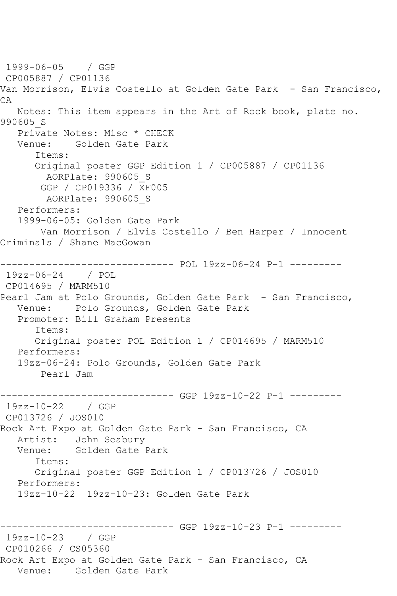1999-06-05 / GGP CP005887 / CP01136 Van Morrison, Elvis Costello at Golden Gate Park - San Francisco, CA Notes: This item appears in the Art of Rock book, plate no. 990605\_S Private Notes: Misc \* CHECK Venue: Golden Gate Park Items: Original poster GGP Edition 1 / CP005887 / CP01136 AORPlate: 990605\_S GGP / CP019336 / XF005 AORPlate: 990605\_S Performers: 1999-06-05: Golden Gate Park Van Morrison / Elvis Costello / Ben Harper / Innocent Criminals / Shane MacGowan ------------------------------ POL 19zz-06-24 P-1 --------- 19zz-06-24 / POL CP014695 / MARM510 Pearl Jam at Polo Grounds, Golden Gate Park - San Francisco, Venue: Polo Grounds, Golden Gate Park Promoter: Bill Graham Presents Items: Original poster POL Edition 1 / CP014695 / MARM510 Performers: 19zz-06-24: Polo Grounds, Golden Gate Park Pearl Jam ------------------------------ GGP 19zz-10-22 P-1 --------- 19zz-10-22 / GGP CP013726 / JOS010 Rock Art Expo at Golden Gate Park - San Francisco, CA Artist: John Seabury<br>Venue: Golden Gate I Golden Gate Park Items: Original poster GGP Edition 1 / CP013726 / JOS010 Performers: 19zz-10-22 19zz-10-23: Golden Gate Park ------------------------------ GGP 19zz-10-23 P-1 --------- 19zz-10-23 / GGP CP010266 / CS05360 Rock Art Expo at Golden Gate Park - San Francisco, CA Venue: Golden Gate Park